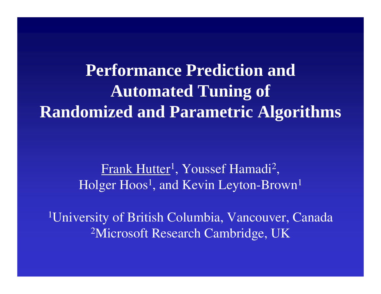**Performance Prediction andAutomated Tuning of Randomized and Parametric Algorithms**

> Frank Hutter<sup>1</sup>, Youssef Hamadi<sup>2</sup>, Holger Hoos 1, and Kevin Leyton-Brown 1

1University of British Columbia, Vancouver, Canada 2Microsoft Research Cambridge, UK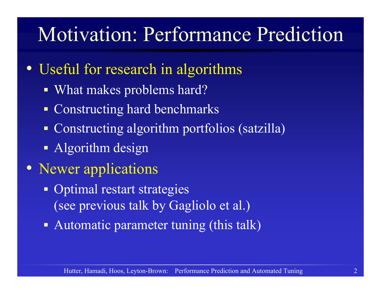## Motivation: Performance Prediction

- Useful for research in algorithms
	- What makes problems hard?
	- Constructing hard benchmarks
	- Constructing algorithm portfolios (satzilla)
	- Algorithm design
- Newer applications
	- Optimal restart strategies (see previous talk by Gagliolo et al.)
	- Automatic parameter tuning (this talk)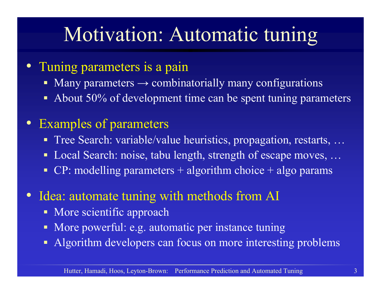# Motivation: Automatic tuning

- • Tuning parameters is a pain
	- $\blacksquare$ Many parameters  $\rightarrow$  combinatorially many configurations
	- $\blacksquare$ About 50% of development time can be spent tuning parameters
- $\bullet$  Examples of parameters
	- Tree Search: variable/value heuristics, propagation, restarts, ...
	- $\blacksquare$ Local Search: noise, tabu length, strength of escape moves, ...
	- $\blacksquare$  $CP:$  modelling parameters  $+$  algorithm choice  $+$  algo params
- $\bullet$ Idea: automate tuning with methods from AI
	- More scientific approach
	- $\blacksquare$ More powerful: e.g. automatic per instance tuning
	- П Algorithm developers can focus on more interesting problems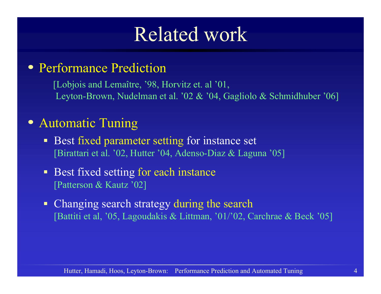#### Related work

#### • Performance Prediction

[Lobjois and Lemaître, '98, Horvitz et. al '01, Leyton-Brown, Nudelman et al. '02 & '04, Gagliolo & Schmidhuber '06]

#### • Automatic Tuning

- **Best fixed parameter setting for instance set** [Birattari et al. '02, Hutter '04, Adenso-Diaz & Laguna '05]
- $\blacksquare$  Best fixed setting for each instance [Patterson & Kautz '02]
- $\blacksquare$  Changing search strategy during the search [Battiti et al, '05, Lagoudakis & Littman, '01/'02, Carchrae & Beck '05]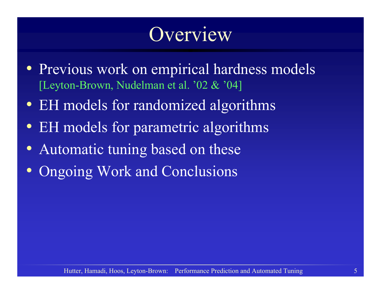## Overview

- Previous work on empirical hardness models [Leyton-Brown, Nudelman et al. '02 & '04]
- EH models for randomized algorithms
- EH models for parametric algorithms
- Automatic tuning based on these
- Ongoing Work and Conclusions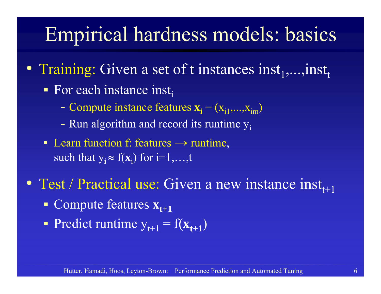# Empirical hardness models: basics

- Training: Given a set of t instances inst $_1,...,$ inst $_t$ 
	- For each instance inst<sub>i</sub>
		- $\mathcal{L}_{\mathcal{A}}$ - Compute instance features  $\mathbf{x}_i = (x_{i1},...,x_{im})$
		- $\mathcal{L}_{\mathcal{A}}$ - Run algorithm and record its runtime  $y_i$
	- Learn function f: features  $\rightarrow$  runtime, such that  $y_i \approx f(x_i)$  for  $i=1,...,t$
- Test / Practical use: Given a new instance  $inst_{t+1}$ 
	- **Compute features**  $\mathbf{x}_{t+1}$
	- Predict runtime  $y_{t+1} = f(\mathbf{x}_{t+1})$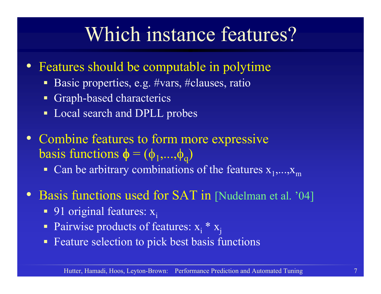#### Which instance features?

- • Features should be computable in polytime
	- Basic properties, e.g. #vars, #clauses, ratio
	- $\blacksquare$ Graph-based characterics
	- Local search and DPLL probes
- Combine features to form more expressive basis functions  $\phi = (\phi_1,...,\phi_q)$ 
	- Can be arbitrary combinations of the features  $x_1,...,x_m$
- Basis functions used for SAT in [Nudelman et al. '04]
	- 91 original features:  $x_i$
	- Pairwise products of features:  $x_i * x_j$
	- **Feature selection to pick best basis functions**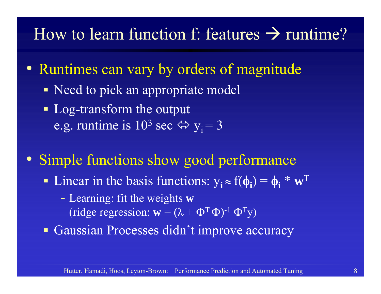#### How to learn function f: features  $\rightarrow$  runtime?

- Runtimes can vary by orders of magnitude
	- Need to pick an appropriate model
	- **Log-transform the output** e.g. runtime is  $10^3$  sec  $\Leftrightarrow$   $y_i = 3$
- Simple functions show good performance
	- **-** Linear in the basis functions:  $y_i \approx f(\phi_i) = \phi_i^* \mathbf{w}^T$ 
		- - Learning: fit the weights **<sup>w</sup>** (ridge regression:  $\mathbf{w} = (\lambda + \Phi^T \Phi)^{-1} \Phi^T \mathbf{y}$ )
	- Gaussian Processes didn't improve accuracy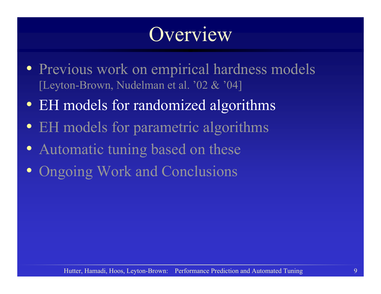## Overview

- Previous work on empirical hardness models [Leyton-Brown, Nudelman et al. '02 & '04]
- EH models for randomized algorithms
- EH models for parametric algorithms
- Automatic tuning based on these
- Ongoing Work and Conclusions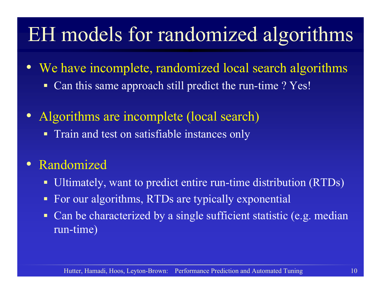# EH models for randomized algorithms

- $\bullet$ We have incomplete, randomized local search algorithms
	- $\blacksquare$ Can this same approach still predict the run-time ? Yes!
- $\bullet$  Algorithms are incomplete (local search)
	- **Train and test on satisfiable instances only**
- $\bullet$  Randomized
	- $\blacksquare$ Ultimately, want to predict entire run-time distribution (RTDs)
	- $\blacksquare$ For our algorithms, RTDs are typically exponential
	- $\blacksquare$  Can be characterized by a single sufficient statistic (e.g. median run-time)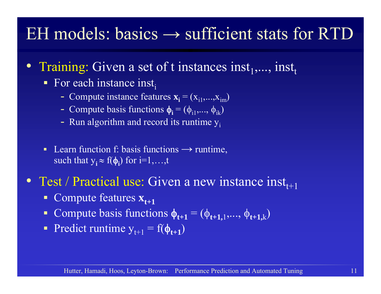#### EH models: basics  $\rightarrow$  sufficient stats for RTD

- •Training: Given a set of t instances inst<sub>1</sub>,..., inst<sub>t</sub>
	- For each instance inst<sub>i</sub>
		- Compute instance features  $\mathbf{x_i} = (x_{i1},...,x_{im})$
		- Compute basis functions  $\phi_i = (\phi_{i1},...,\phi_{ik})$
		- Run algorithm and record its runtime  $y_i$
	- $\blacksquare$ Learn function f: basis functions  $\rightarrow$  runtime, such that  $y_i \approx f(\phi_i)$  for i=1,...,t
- Test / Practical use: Given a new instance  $inst_{t+1}$ 
	- Compute features  $\mathbf{x}_{t+1}$
	- **Compute basis functions**  $\phi_{t+1} = (\phi_{t+1,1},...,\phi_{t+1,k})$
	- Predict runtime  $y_{t+1} = f(\phi_{t+1})$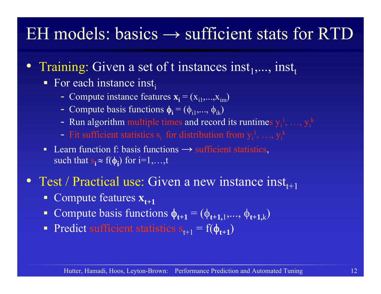#### EH models: basics  $\rightarrow$  sufficient stats for RTD

- Training: Given a set of t instances inst<sub>1</sub>,..., inst<sub>t</sub>
	- For each instance inst<sub>i</sub>
		- Compute instance features  $\mathbf{x_i} = (x_{i1},...,x_{im})$
		- Compute basis functions  $\phi_i = (\phi_{i1},...,\phi_{ik})$
		- Run algorithm multiple times and record its runtimes  $y_i^1, ..., y_i^k$
		- Fit sufficient statistics  $s_i$  for distribution from  $y_i^1, \ldots, y_i^k$
	- **Learn function f: basis functions**  $\rightarrow$  **sufficient statistics,** such that  $s_i \approx f(\phi_i)$  for i=1,...,t
- Test / Practical use: Given a new instance  $inst_{t+1}$ 
	- **Compute features**  $\mathbf{x}_{t+1}$
	- **Compute basis functions**  $\phi_{t+1} = (\phi_{t+1,1},...,\phi_{t+1,k})$
	- Predict sufficient statistics  $s_{t+1} = f(\phi_{t+1})$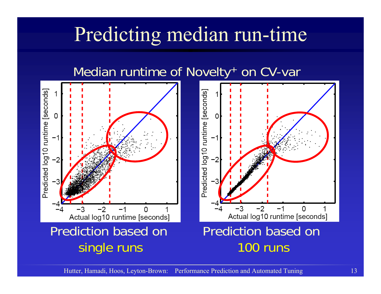# Predicting median run-time

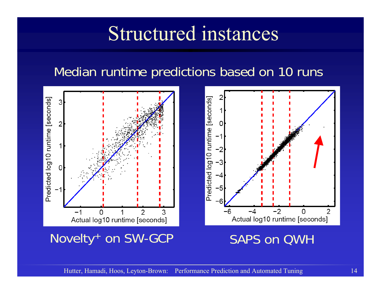#### Structured instances

#### Median runtime predictions based on 10 runs

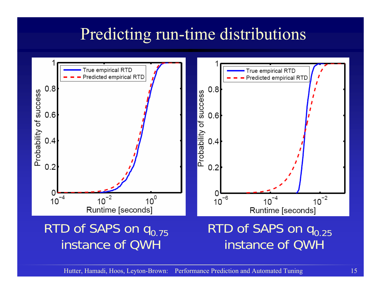#### Predicting run-time distributions

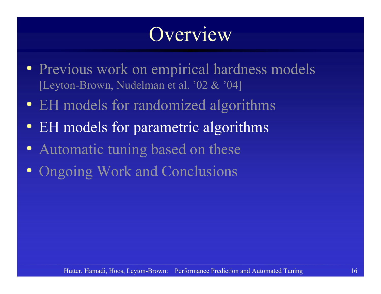## Overview

- Previous work on empirical hardness models [Leyton-Brown, Nudelman et al. '02 & '04]
- EH models for randomized algorithms
- EH models for parametric algorithms
- Automatic tuning based on these
- Ongoing Work and Conclusions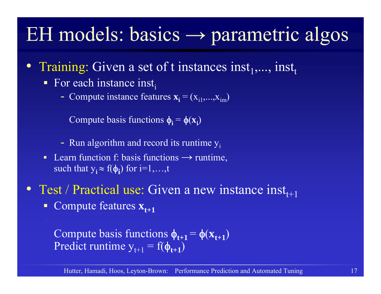## EH models: basics <sup>→</sup> parametric algos

- Training: Given a set of t instances inst<sub>1</sub>,..., inst<sub>t</sub>
	- For each instance inst<sub>i</sub>
		- Compute instance features  $\mathbf{x_i} = (x_{i1},...,x_{im})$

Compute basis functions  $\phi_i = \phi(x_i)$ 

- Run algorithm and record its runtime  $y_i$
- Learn function f: basis functions  $\rightarrow$  runtime, such that  $y_i \approx f(\phi_i)$  for i=1,...,t
- Test / Practical use: Given a new instance  $inst_{t+1}$ 
	- **Compute features**  $\mathbf{x}_{t+1}$

Compute basis functions  $\phi_{t+1} = \phi(\mathbf{x}_{t+1})$ Predict runtime  $y_{t+1} = f(\phi_{t+1})$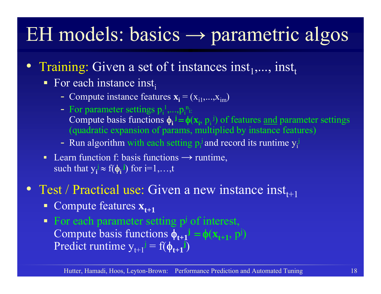## EH models: basics <sup>→</sup> parametric algos

- Training: Given a set of t instances inst<sub>1</sub>,..., inst<sub>t</sub>
	- For each instance inst<sub>i</sub>
		- Compute instance features  $\mathbf{x_i} = (x_{i1},...,x_{im})$
		- For parameter settings  $p_i^1,...,p_i^n$ Compute basis functions  $\phi_i$ <sup> $j = \phi(x_i, p_i)^j$  of features <u>and</u> parameter settings</sup> (quadratic expansion of params, multiplied by instance features)
		- Run algorithm with each setting  $p_i^j$  and record its runtime  $y_i^j$
	- Learn function f: basis functions  $\rightarrow$  runtime, such that  $y_i \approx f(\phi_i)$  for i=1,...,t
- Test / Practical use: Given a new instance  $inst_{t+1}$ 
	- **Compute features**  $\mathbf{x}_{t+1}$
	- For each parameter setting  $p^j$  of interest, Compute basis functions  $\phi_{t+1}$ <sup> $j = \phi(x_{t+1}, p^j)$ </sup> Predict runtime  $y_{t+1}$ <sup> $j = f(\phi_{t+1}^j)$ </sup>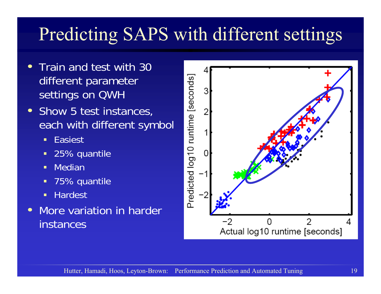#### Predicting SAPS with different settings

- • Train and test with 30 different parameter settings on QWH
- • Show 5 test instances, each with different symbol
	- п Easiest
	- п 25% quantile
	- п Median
	- п 75% quantile
	- Г **Hardest**
- $\bullet$  More variation in harder instances

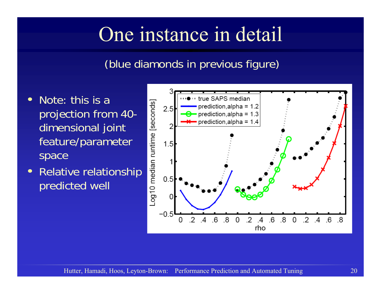## One instance in detail

#### (blue diamonds in previous figure)

- • Note: this is a projection from 40 dimensional joint feature/parameter space
- • Relative relationship predicted well

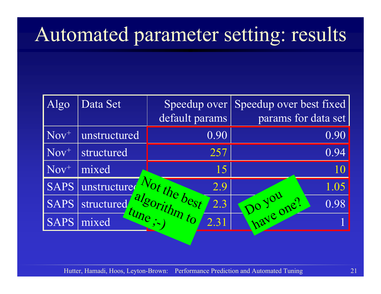## Automated parameter setting: results

| Algo        | Data Set               | Speedup over<br>default params | Speedup over best fixed<br>params for data set |
|-------------|------------------------|--------------------------------|------------------------------------------------|
| $Nov^{+}$   | unstructured           | 0.90                           | 0.90                                           |
| $Nov^{+}$   | structured             | 257                            | 0.94                                           |
| $Nov^{+}$   | mixed                  | 15                             | 10                                             |
| <b>SAPS</b> | unstructure            | Not the best<br>2.9            | 1.05                                           |
| <b>SAPS</b> | structured             | algorithm to<br>2.3            | 0.98                                           |
| <b>SAPS</b> | $\leq t$ une;<br>mixed | 2.31                           | have one ?                                     |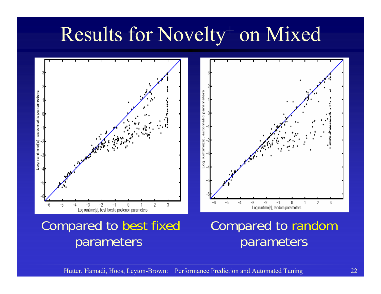## Results for Novelty<sup>+</sup> on Mixed



#### Compared to best fixed parameters

#### Compared to random parameters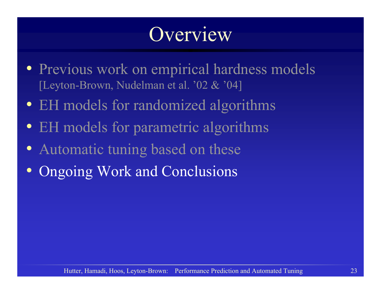## Overview

- Previous work on empirical hardness models [Leyton-Brown, Nudelman et al. '02 & '04]
- EH models for randomized algorithms
- EH models for parametric algorithms
- Automatic tuning based on these
- Ongoing Work and Conclusions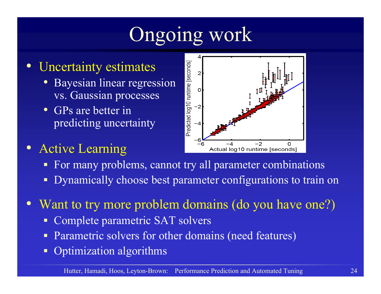# Ongoing work

#### •Uncertainty estimates

- Bayesian linear regression vs. Gaussian processes
- GPs are better in predicting uncertainty

#### • Active Learning



- **For many problems, cannot try all parameter combinations**
- П Dynamically choose best parameter configurations to train on
- $\bullet$  Want to try more problem domains (do you have one?)
	- $\blacksquare$ Complete parametric SAT solvers
	- П Parametric solvers for other domains (need features)
	- $\blacksquare$ Optimization algorithms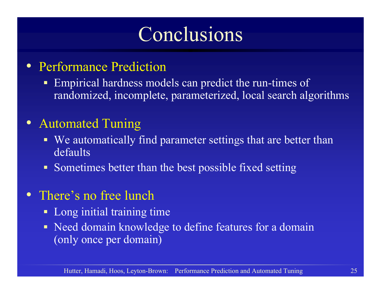#### Conclusions

- Performance Prediction
	- **Empirical hardness models can predict the run-times of** randomized, incomplete, parameterized, local search algorithms
- Automated Tuning
	- We automatically find parameter settings that are better than defaults
	- Sometimes better than the best possible fixed setting
- There's no free lunch
	- × Long initial training time
	- Need domain knowledge to define features for a domain (only once per domain)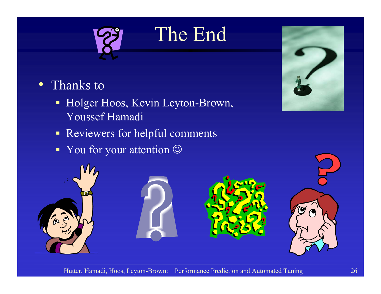

The End

#### • Thanks to

- $\blacksquare$  Holger Hoos, Kevin Leyton-Brown, Youssef Hamadi
- **Reviewers for helpful comments**
- You for your attention  $\odot$



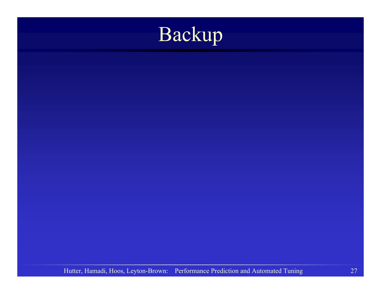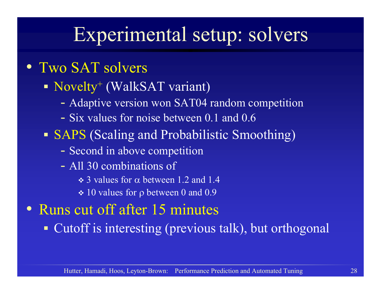#### Experimental setup: solvers

- Two SAT solvers
	- Novelty<sup>+</sup> (WalkSAT variant)
		- -Adaptive version won SAT04 random competition
		- Six values for noise between 0.1 and 0.6
	- SAPS (Scaling and Probabilistic Smoothing)
		- $\mathcal{L}_{\mathcal{A}}$ Second in above competition
		- All 30 combinations of
			- $\div$  3 values for  $\alpha$  between 1.2 and 1.4
			- $\div 10$  values for  $\rho$  between 0 and 0.9
- Runs cut off after 15 minutes

Cutoff is interesting (previous talk), but orthogonal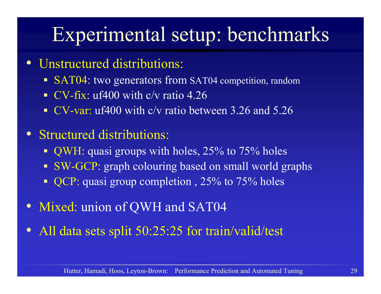# Experimental setup: benchmarks

- Unstructured distributions:
	- SAT04: two generators from SAT04 competition, random
	- $\blacksquare$ CV-fix: uf400 with c/v ratio 4.26
	- $\blacksquare$ CV-var: uf400 with c/v ratio between 3.26 and 5.26
- Structured distributions:
	- QWH: quasi groups with holes, 25% to 75% holes
	- SW-GCP: graph colouring based on small world graphs
	- QCP: quasi group completion, 25% to 75% holes
- Mixed: union of QWH and SAT04
- All data sets split 50:25:25 for train/valid/test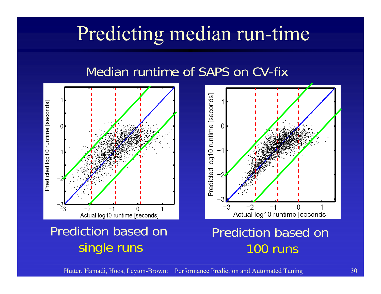## Predicting median run-time

#### Median runtime of SAPS on CV-fix





#### Prediction based on 100 runs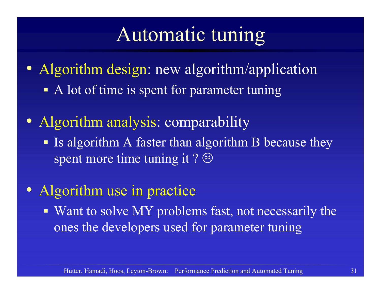#### Automatic tuning

- Algorithm design: new algorithm/application A lot of time is spent for parameter tuning
- Algorithm analysis: comparability
	- If algorithm A faster than algorithm B because they spent more time tuning it ?  $\odot$
- Algorithm use in practice
	- Want to solve MY problems fast, not necessarily the ones the developers used for parameter tuning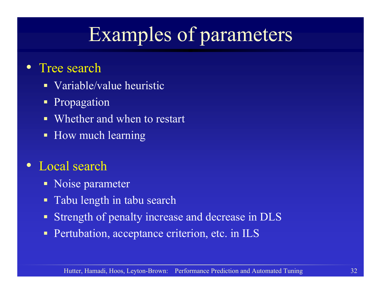# Examples of parameters

- $\bullet$ Tree search
	- Variable/value heuristic
	- $\blacksquare$ Propagation
	- $\blacksquare$ Whether and when to restart
	- How much learning
- Local search
	- Noise parameter
	- $\blacksquare$ Tabu length in tabu search
	- $\blacksquare$ Strength of penalty increase and decrease in DLS
	- $\blacksquare$ Pertubation, acceptance criterion, etc. in ILS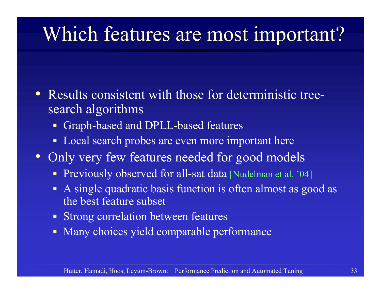## Which features are most important?

- $\bullet$  Results consistent with those for deterministic treesearch algorithms
	- Graph-based and DPLL-based features
	- $\blacksquare$ Local search probes are even more important here
- Only very few features needed for good models
	- **Previously observed for all-sat data [Nudelman et al. '04]**
	- A single quadratic basis function is often almost as good as the best feature subset
	- Strong correlation between features
	- Many choices yield comparable performance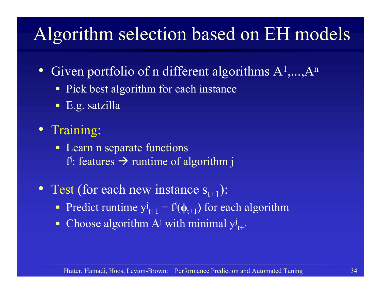#### Algorithm selection based on EH models

- Given portfolio of n different algorithms  $A^1,...,A^n$ 
	- Pick best algorithm for each instance
	- E.g. satzilla
- Training:
	- Learn n separate functions f $\mathbf f\colon$  features  $\rightarrow$  runtime of algorithm j
- Test (for each new instance  $s_{t+1}$ ):
	- Predict runtime  $y^{j}_{t+1} = f^{j}(\phi_{t+1})$  for each algorithm
	- $\blacksquare$ Choose algorithm  $A^{j}$  with minimal  $y^{j}_{t+1}$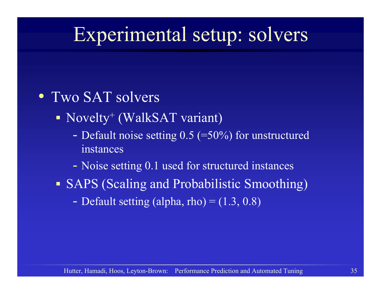## Experimental setup: solvers

- Two SAT solvers
	- Novelty<sup>+</sup> (WalkSAT variant)
		- Default noise setting  $0.5$  (=50%) for unstructured instances
		- $\mathcal{L}_{\mathcal{A}}$ Noise setting 0.1 used for structured instances
	- SAPS (Scaling and Probabilistic Smoothing)
		- $\mathcal{L}_{\mathcal{A}}$ - Default setting (alpha, rho) =  $(1.3, 0.8)$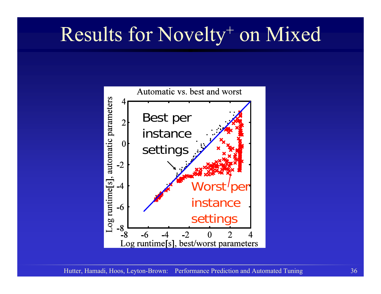## Results for Novelty<sup>+</sup> on Mixed

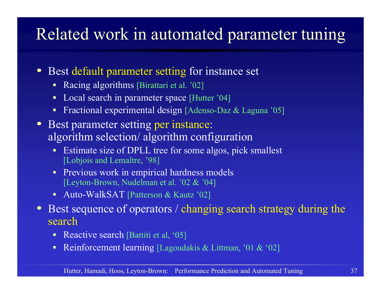#### Related work in automated parameter tuning

- $\bullet$ Best default parameter setting for instance set
	- $\blacksquare$ Racing algorithms [Birattari et al. '02]
	- $\blacksquare$ Local search in parameter space [Hutter '04]
	- г Fractional experimental design [Adenso-Daz & Laguna '05]
- Best parameter setting per instance: algorithm selection/ algorithm configuration
	- Estimate size of DPLL tree for some algos, pick smallest [Lobjois and Lemaître, '98]
	- **Previous work in empirical hardness models** [Leyton-Brown, Nudelman et al. '02 & '04]
	- г ■ Auto-WalkSAT [Patterson & Kautz '02]
- $\bullet$ Best sequence of operators / changing search strategy during the search
	- Reactive search [Battiti et al,  $05$ ]
	- ٠ Reinforcement learning [Lagoudakis & Littman, '01 & '02]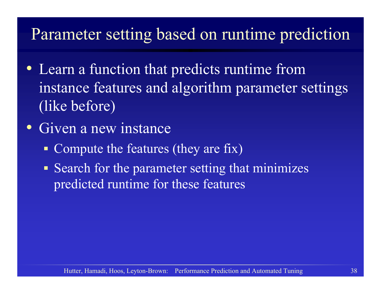#### Parameter setting based on runtime prediction

- Learn a function that predicts runtime from instance features and algorithm parameter settings (like before)
- Given a new instance
	- Compute the features (they are fix)
	- **Search for the parameter setting that minimizes** predicted runtime for these features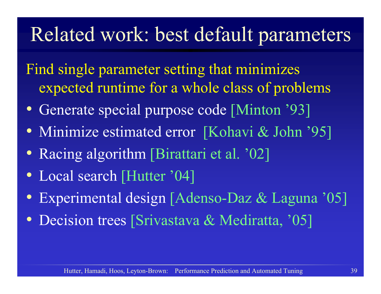#### Related work: best default parameters

- Find single parameter setting that minimizes expected runtime for a whole class of problems
- Generate special purpose code [Minton '93]
- Minimize estimated error [Kohavi & John '95]
- Racing algorithm [Birattari et al. '02]
- Local search [Hutter '04]
- Experimental design [Adenso-Daz & Laguna '05]
- Decision trees [Srivastava & Mediratta, '05]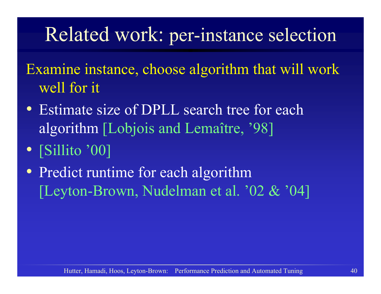#### Related work: per-instance selection

- Examine instance, choose algorithm that will work well for it
- Estimate size of DPLL search tree for each algorithm [Lobjois and Lemaître, '98]
- [Sillito '00]
- Predict runtime for each algorithm [Leyton-Brown, Nudelman et al. '02 & '04]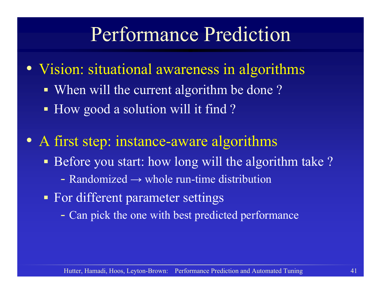#### Performance Prediction

- Vision: situational awareness in algorithms
	- When will the current algorithm be done?
	- How good a solution will it find?
- A first step: instance-aware algorithms
	- **Before you start: how long will the algorithm take?** 
		- Randomized  $\rightarrow$  whole run-time distribution
	- **For different parameter settings** 
		- -Can pick the one with best predicted performance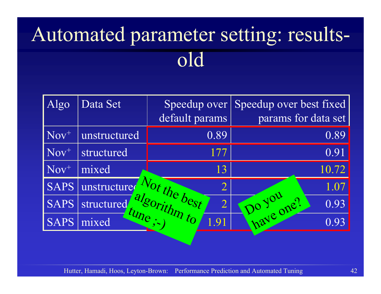# Automated parameter setting: resultsold

| Algo        | Data Set       | Speedup over<br>default params | Speedup over best fixed<br>params for data set |
|-------------|----------------|--------------------------------|------------------------------------------------|
| $Nov^{+}$   | unstructured   | 0.89                           | 0.89                                           |
| $Nov^{+}$   | structured     | 177                            | 0.91                                           |
| $Nov^{+}$   | mixed          | 13                             | 10.72                                          |
| <b>SAPS</b> | unstructure    | Not the best<br>$\overline{2}$ | 1.07                                           |
| <b>SAPS</b> | structured     | algorithm to<br>$\overline{2}$ | 0.93                                           |
| <b>SAPS</b> | tune;<br>mixed | 1.91                           | have one ?<br>0.93                             |